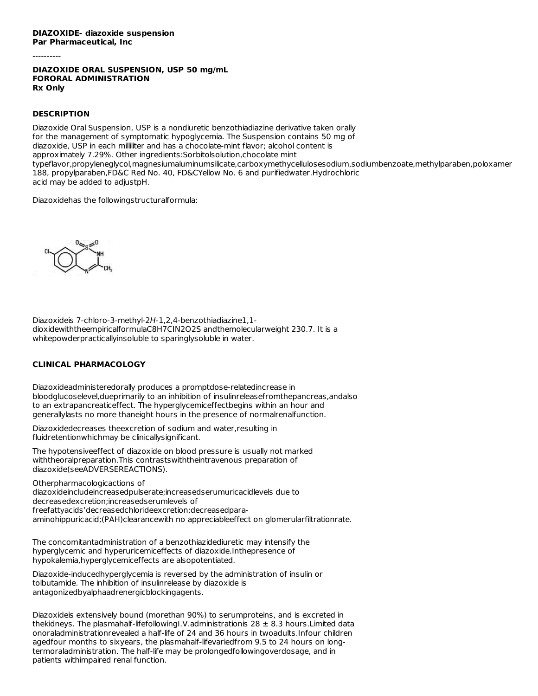#### **DIAZOXIDE- diazoxide suspension Par Pharmaceutical, Inc**

----------

## **DIAZOXIDE ORAL SUSPENSION, USP 50 mg/mL FORORAL ADMINISTRATION Rx Only**

# **DESCRIPTION**

Diazoxide Oral Suspension, USP is a nondiuretic benzothiadiazine derivative taken orally for the management of symptomatic hypoglycemia. The Suspension contains 50 mg of diazoxide, USP in each milliliter and has a chocolate-mint flavor; alcohol content is approximately 7.29%. Other ingredients:Sorbitolsolution,chocolate mint typeflavor,propyleneglycol,magnesiumaluminumsilicate,carboxymethycellulosesodium,sodiumbenzoate,methylparaben,poloxamer 188, propylparaben,FD&C Red No. 40, FD&CYellow No. 6 and purifiedwater.Hydrochloric acid may be added to adjustpH.

Diazoxidehas the followingstructuralformula:



Diazoxideis 7-chloro-3-methyl-2H-1,2,4-benzothiadiazine1,1 dioxidewiththeempiricalformulaC8H7CIN2O2S andthemolecularweight 230.7. It is a whitepowderpracticallyinsoluble to sparinglysoluble in water.

## **CLINICAL PHARMACOLOGY**

Diazoxideadministeredorally produces a promptdose-relatedincrease in bloodglucoselevel,dueprimarily to an inhibition of insulinreleasefromthepancreas,andalso to an extrapancreaticeffect. The hyperglycemiceffectbegins within an hour and generallylasts no more thaneight hours in the presence of normalrenalfunction.

Diazoxidedecreases theexcretion of sodium and water,resulting in fluidretentionwhichmay be clinicallysignificant.

The hypotensiveeffect of diazoxide on blood pressure is usually not marked withtheoralpreparation.This contrastswiththeintravenous preparation of diazoxide(seeADVERSEREACTIONS).

Otherpharmacologicactions of

diazoxideincludeincreasedpulserate;increasedserumuricacidlevels due to decreasedexcretion;increasedserumlevels of freefattyacids'decreasedchlorideexcretion;decreasedparaaminohippuricacid;(PAH)clearancewith no appreciableeffect on glomerularfiltrationrate.

The concomitantadministration of a benzothiazidediuretic may intensify the hyperglycemic and hyperuricemiceffects of diazoxide.Inthepresence of hypokalemia,hyperglycemiceffects are alsopotentiated.

Diazoxide-inducedhyperglycemia is reversed by the administration of insulin or tolbutamide. The inhibition of insulinrelease by diazoxide is antagonizedbyalphaadrenergicblockingagents.

Diazoxideis extensively bound (morethan 90%) to serumproteins, and is excreted in thekidneys. The plasmahalf-lifefollowingI.V.administrationis  $28 \pm 8.3$  hours. Limited data onoraladministrationrevealed a half-life of 24 and 36 hours in twoadults.Infour children agedfour months to sixyears, the plasmahalf-lifevariedfrom 9.5 to 24 hours on longtermoraladministration. The half-life may be prolongedfollowingoverdosage, and in patients withimpaired renal function.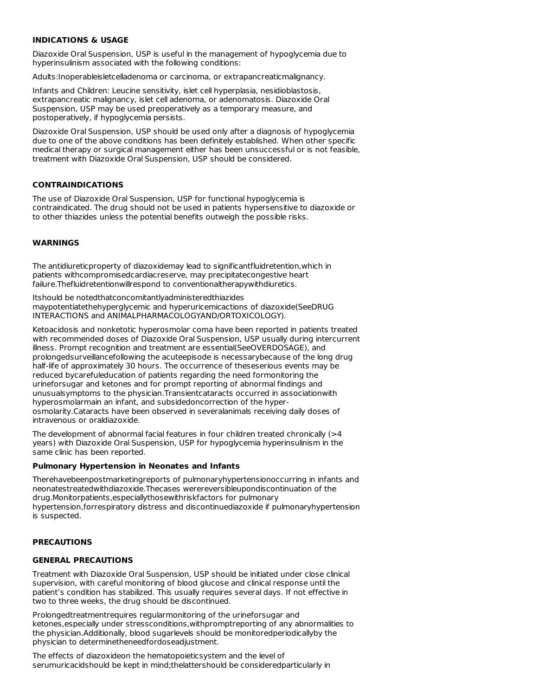#### **INDICATIONS & USAGE**

Diazoxide Oral Suspension, USP is useful in the management of hypoglycemia due to hyperinsulinism associated with the following conditions:

Adults:Inoperableisletcelladenoma or carcinoma, or extrapancreaticmalignancy.

Infants and Children: Leucine sensitivity, islet cell hyperplasia, nesidioblastosis, extrapancreatic malignancy, islet cell adenoma, or adenomatosis. Diazoxide Oral Suspension, USP may be used preoperatively as a temporary measure, and postoperatively, if hypoglycemia persists.

Diazoxide Oral Suspension, USP should be used only after a diagnosis of hypoglycemia due to one of the above conditions has been definitely established. When other specific medical therapy or surgical management either has been unsuccessful or is not feasible, treatment with Diazoxide Oral Suspension, USP should be considered.

#### **CONTRAINDICATIONS**

The use of Diazoxide Oral Suspension, USP for functional hypoglycemia is contraindicated. The drug should not be used in patients hypersensitive to diazoxide or to other thiazides unless the potential benefits outweigh the possible risks.

#### **WARNINGS**

The antidiureticproperty of diazoxidemay lead to significantfluidretention,which in patients withcompromisedcardiacreserve, may precipitatecongestive heart failure.Thefluidretentionwillrespond to conventionaltherapywithdiuretics.

Itshould be notedthatconcomitantlyadministeredthiazides maypotentiatethehyperglycemic and hyperuricemicactions of diazoxide(SeeDRUG INTERACTIONS and ANIMALPHARMACOLOGYAND/ORTOXICOLOGY).

Ketoacidosis and nonketotic hyperosmolar coma have been reported in patients treated with recommended doses of Diazoxide Oral Suspension, USP usually during intercurrent illness. Prompt recognition and treatment are essential(SeeOVERDOSAGE), and prolongedsurveillancefollowing the acuteepisode is necessarybecause of the long drug half-life of approximately 30 hours. The occurrence of theseserious events may be reduced bycarefuleducation of patients regarding the need formonitoring the urineforsugar and ketones and for prompt reporting of abnormal findings and unusualsymptoms to the physician.Transientcataracts occurred in associationwith hyperosmolarmain an infant, and subsidedoncorrection of the hyperosmolarity.Cataracts have been observed in severalanimals receiving daily doses of intravenous or oraldiazoxide.

The development of abnormal facial features in four children treated chronically (>4 years) with Diazoxide Oral Suspension, USP for hypoglycemia hyperinsulinism in the same clinic has been reported.

#### **Pulmonary Hypertension in Neonates and Infants**

Therehavebeenpostmarketingreports of pulmonaryhypertensionoccurring in infants and neonatestreatedwithdiazoxide.Thecases werereversibleupondiscontinuation of the drug.Monitorpatients,especiallythosewithriskfactors for pulmonary hypertension,forrespiratory distress and discontinuediazoxide if pulmonaryhypertension is suspected.

### **PRECAUTIONS**

#### **GENERAL PRECAUTIONS**

Treatment with Diazoxide Oral Suspension, USP should be initiated under close clinical supervision, with careful monitoring of blood glucose and clinical response until the patient's condition has stabilized. This usually requires several days. If not effective in two to three weeks, the drug should be discontinued.

Prolongedtreatmentrequires regularmonitoring of the urineforsugar and ketones,especially under stressconditions,withpromptreporting of any abnormalities to the physician.Additionally, blood sugarlevels should be monitoredperiodicallyby the physician to determinetheneedfordoseadjustment.

The effects of diazoxideon the hematopoieticsystem and the level of serumuricacidshould be kept in mind;thelattershould be consideredparticularly in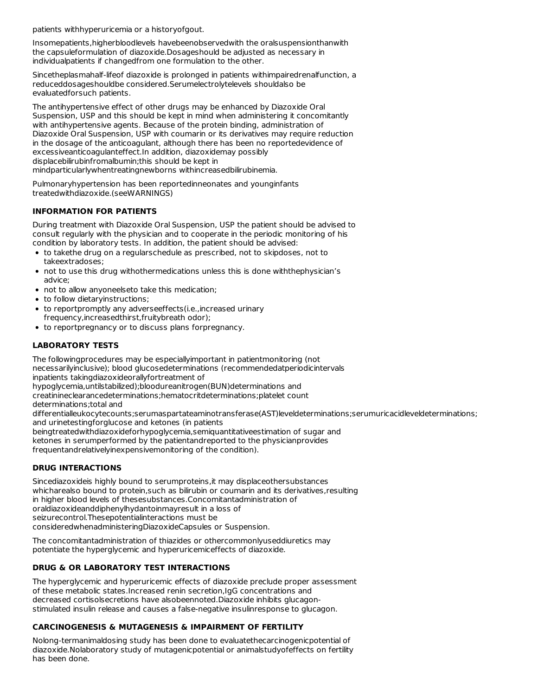patients withhyperuricemia or a historyofgout.

Insomepatients,higherbloodlevels havebeenobservedwith the oralsuspensionthanwith the capsuleformulation of diazoxide.Dosageshould be adjusted as necessary in individualpatients if changedfrom one formulation to the other.

Sincetheplasmahalf-lifeof diazoxide is prolonged in patients withimpairedrenalfunction, a reduceddosageshouldbe considered.Serumelectrolytelevels shouldalso be evaluatedforsuch patients.

The antihypertensive effect of other drugs may be enhanced by Diazoxide Oral Suspension, USP and this should be kept in mind when administering it concomitantly with antihypertensive agents. Because of the protein binding, administration of Diazoxide Oral Suspension, USP with coumarin or its derivatives may require reduction in the dosage of the anticoagulant, although there has been no reportedevidence of excessiveanticoagulanteffect.In addition, diazoxidemay possibly displacebilirubinfromalbumin;this should be kept in mindparticularlywhentreatingnewborns withincreasedbilirubinemia.

Pulmonaryhypertension has been reportedinneonates and younginfants treatedwithdiazoxide.(seeWARNINGS)

# **INFORMATION FOR PATIENTS**

During treatment with Diazoxide Oral Suspension, USP the patient should be advised to consult regularly with the physician and to cooperate in the periodic monitoring of his condition by laboratory tests. In addition, the patient should be advised:

- to takethe drug on a regularschedule as prescribed, not to skipdoses, not to takeextradoses;
- not to use this drug withothermedications unless this is done withthephysician's advice;
- not to allow anyoneelseto take this medication;
- to follow dietaryinstructions;
- to reportpromptly any adverseeffects(i.e.,increased urinary frequency,increasedthirst,fruitybreath odor);
- to reportpregnancy or to discuss plans forpregnancy.

# **LABORATORY TESTS**

The followingprocedures may be especiallyimportant in patientmonitoring (not necessarilyinclusive); blood glucosedeterminations (recommendedatperiodicintervals inpatients takingdiazoxideorallyfortreatment of hypoglycemia,untilstabilized);bloodureanitrogen(BUN)determinations and creatinineclearancedeterminations;hematocritdeterminations;platelet count

determinations;total and

differentialleukocytecounts;serumaspartateaminotransferase(AST)leveldeterminations;serumuricacidleveldeterminations; and urinetestingforglucose and ketones (in patients

beingtreatedwithdiazoxideforhypoglycemia,semiquantitativeestimation of sugar and ketones in serumperformed by the patientandreported to the physicianprovides frequentandrelativelyinexpensivemonitoring of the condition).

# **DRUG INTERACTIONS**

Sincediazoxideis highly bound to serumproteins,it may displaceothersubstances whicharealso bound to protein,such as bilirubin or coumarin and its derivatives,resulting in higher blood levels of thesesubstances.Concomitantadministration of oraldiazoxideanddiphenylhydantoinmayresult in a loss of seizurecontrol.Thesepotentialinteractions must be consideredwhenadministeringDiazoxideCapsules or Suspension.

The concomitantadministration of thiazides or othercommonlyuseddiuretics may potentiate the hyperglycemic and hyperuricemiceffects of diazoxide.

# **DRUG & OR LABORATORY TEST INTERACTIONS**

The hyperglycemic and hyperuricemic effects of diazoxide preclude proper assessment of these metabolic states.Increased renin secretion,IgG concentrations and decreased cortisolsecretions have alsobeennoted.Diazoxide inhibits glucagonstimulated insulin release and causes a false-negative insulinresponse to glucagon.

## **CARCINOGENESIS & MUTAGENESIS & IMPAIRMENT OF FERTILITY**

Nolong-termanimaldosing study has been done to evaluatethecarcinogenicpotential of diazoxide.Nolaboratory study of mutagenicpotential or animalstudyofeffects on fertility has been done.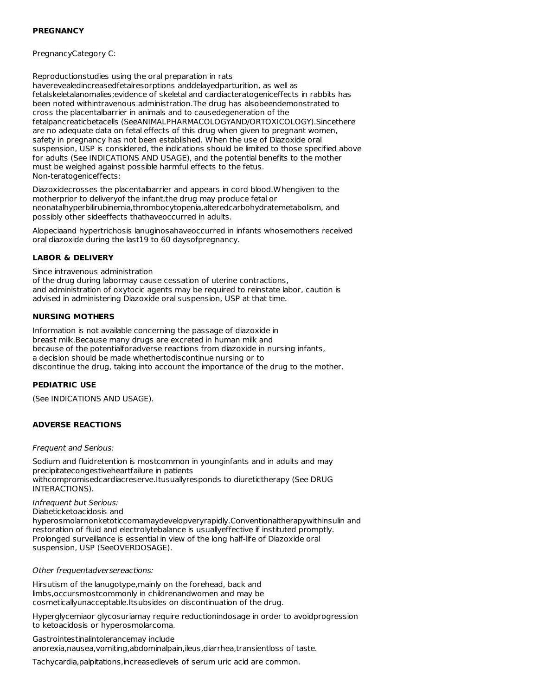### **PREGNANCY**

PregnancyCategory C:

Reproductionstudies using the oral preparation in rats haverevealedincreasedfetalresorptions anddelayedparturition, as well as fetalskeletalanomalies;evidence of skeletal and cardiacteratogeniceffects in rabbits has been noted withintravenous administration.The drug has alsobeendemonstrated to cross the placentalbarrier in animals and to causedegeneration of the fetalpancreaticbetacells (SeeANIMALPHARMACOLOGYAND/ORTOXICOLOGY).Sincethere are no adequate data on fetal effects of this drug when given to pregnant women, safety in pregnancy has not been established. When the use of Diazoxide oral suspension, USP is considered, the indications should be limited to those specified above for adults (See INDICATIONS AND USAGE), and the potential benefits to the mother must be weighed against possible harmful effects to the fetus. Non-teratogeniceffects:

Diazoxidecrosses the placentalbarrier and appears in cord blood.Whengiven to the motherprior to deliveryof the infant,the drug may produce fetal or neonatalhyperbilirubinemia,thrombocytopenia,alteredcarbohydratemetabolism, and possibly other sideeffects thathaveoccurred in adults.

Alopeciaand hypertrichosis lanuginosahaveoccurred in infants whosemothers received oral diazoxide during the last19 to 60 daysofpregnancy.

## **LABOR & DELIVERY**

Since intravenous administration

of the drug during labormay cause cessation of uterine contractions, and administration of oxytocic agents may be required to reinstate labor, caution is advised in administering Diazoxide oral suspension, USP at that time.

### **NURSING MOTHERS**

Information is not available concerning the passage of diazoxide in breast milk.Because many drugs are excreted in human milk and because of the potentialforadverse reactions from diazoxide in nursing infants, a decision should be made whethertodiscontinue nursing or to discontinue the drug, taking into account the importance of the drug to the mother.

#### **PEDIATRIC USE**

(See INDICATIONS AND USAGE).

#### **ADVERSE REACTIONS**

Frequent and Serious:

Sodium and fluidretention is mostcommon in younginfants and in adults and may precipitatecongestiveheartfailure in patients withcompromisedcardiacreserve.Itusuallyresponds to diuretictherapy (See DRUG INTERACTIONS).

Infrequent but Serious:

Diabeticketoacidosis and hyperosmolarnonketoticcomamaydevelopveryrapidly.Conventionaltherapywithinsulin and restoration of fluid and electrolytebalance is usuallyeffective if instituted promptly. Prolonged surveillance is essential in view of the long half-life of Diazoxide oral suspension, USP (SeeOVERDOSAGE).

Other frequentadversereactions:

Hirsutism of the lanugotype,mainly on the forehead, back and limbs,occursmostcommonly in childrenandwomen and may be cosmeticallyunacceptable.Itsubsides on discontinuation of the drug.

Hyperglycemiaor glycosuriamay require reductionindosage in order to avoidprogression to ketoacidosis or hyperosmolarcoma.

Gastrointestinalintolerancemay include anorexia,nausea,vomiting,abdominalpain,ileus,diarrhea,transientloss of taste.

Tachycardia,palpitations,increasedlevels of serum uric acid are common.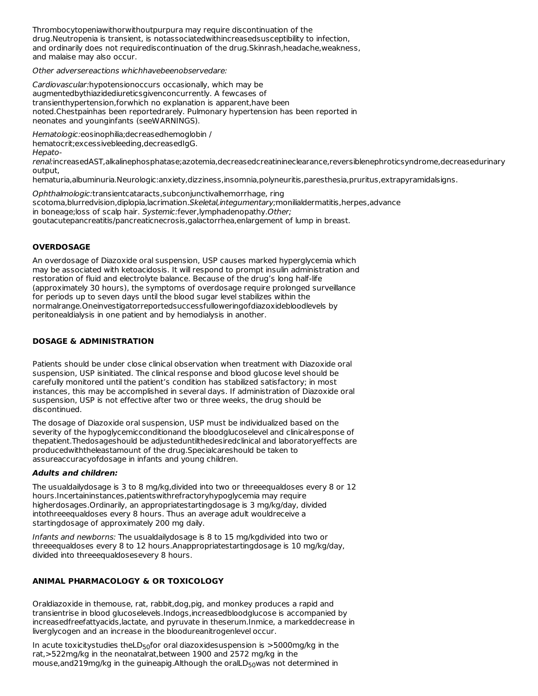Thrombocytopeniawithorwithoutpurpura may require discontinuation of the drug.Neutropenia is transient, is notassociatedwithincreasedsusceptibility to infection, and ordinarily does not requirediscontinuation of the drug.Skinrash,headache,weakness, and malaise may also occur.

Other adversereactions whichhavebeenobservedare:

Cardiovascular:hypotensionoccurs occasionally, which may be augmentedbythiazidediureticsgivenconcurrently. A fewcases of transienthypertension,forwhich no explanation is apparent,have been noted.Chestpainhas been reportedrarely. Pulmonary hypertension has been reported in neonates and younginfants (seeWARNINGS).

Hematologic:eosinophilia;decreasedhemoglobin /

hematocrit;excessivebleeding,decreasedIgG.

Hepato-

renal:increasedAST,alkalinephosphatase;azotemia,decreasedcreatinineclearance,reversiblenephroticsyndrome,decreasedurinary output,

hematuria,albuminuria.Neurologic:anxiety,dizziness,insomnia,polyneuritis,paresthesia,pruritus,extrapyramidalsigns.

Ophthalmologic:transientcataracts,subconjunctivalhemorrhage, ring scotoma, blurredvision, diplopia, lacrimation. Skeletal, integumentary; monilialdermatitis, herpes, advance in boneage; loss of scalp hair. Systemic: fever, lymphadenopathy. Other; goutacutepancreatitis/pancreaticnecrosis,galactorrhea,enlargement of lump in breast.

## **OVERDOSAGE**

An overdosage of Diazoxide oral suspension, USP causes marked hyperglycemia which may be associated with ketoacidosis. It will respond to prompt insulin administration and restoration of fluid and electrolyte balance. Because of the drug's long half-life (approximately 30 hours), the symptoms of overdosage require prolonged surveillance for periods up to seven days until the blood sugar level stabilizes within the normalrange.Oneinvestigatorreportedsuccessfulloweringofdiazoxidebloodlevels by peritonealdialysis in one patient and by hemodialysis in another.

## **DOSAGE & ADMINISTRATION**

Patients should be under close clinical observation when treatment with Diazoxide oral suspension, USP isinitiated. The clinical response and blood glucose level should be carefully monitored until the patient's condition has stabilized satisfactory; in most instances, this may be accomplished in several days. If administration of Diazoxide oral suspension, USP is not effective after two or three weeks, the drug should be discontinued.

The dosage of Diazoxide oral suspension, USP must be individualized based on the severity of the hypoglycemicconditionand the bloodglucoselevel and clinicalresponse of thepatient.Thedosageshould be adjusteduntilthedesiredclinical and laboratoryeffects are producedwiththeleastamount of the drug.Specialcareshould be taken to assureaccuracyofdosage in infants and young children.

#### **Adults and children:**

The usualdailydosage is 3 to 8 mg/kg,divided into two or threeequaldoses every 8 or 12 hours.Incertaininstances,patientswithrefractoryhypoglycemia may require higherdosages.Ordinarily, an appropriatestartingdosage is 3 mg/kg/day, divided intothreeequaldoses every 8 hours. Thus an average adult wouldreceive a startingdosage of approximately 200 mg daily.

Infants and newborns: The usualdailydosage is 8 to 15 mg/kgdivided into two or threeequaldoses every 8 to 12 hours.Anappropriatestartingdosage is 10 mg/kg/day, divided into threeequaldosesevery 8 hours.

## **ANIMAL PHARMACOLOGY & OR TOXICOLOGY**

Oraldiazoxide in themouse, rat, rabbit,dog,pig, and monkey produces a rapid and transientrise in blood glucoselevels.Indogs,increasedbloodglucose is accompanied by increasedfreefattyacids,lactate, and pyruvate in theserum.Inmice, a markeddecrease in liverglycogen and an increase in the bloodureanitrogenlevel occur.

In acute toxicitystudies theLD $_{50}$ for oral diazoxidesuspension is >5000mg/kg in the rat,>522mg/kg in the neonatalrat,between 1900 and 2572 mg/kg in the mouse,and219mg/kg in the guineapig.Although the oralLD $_{\rm 50}$ was not determined in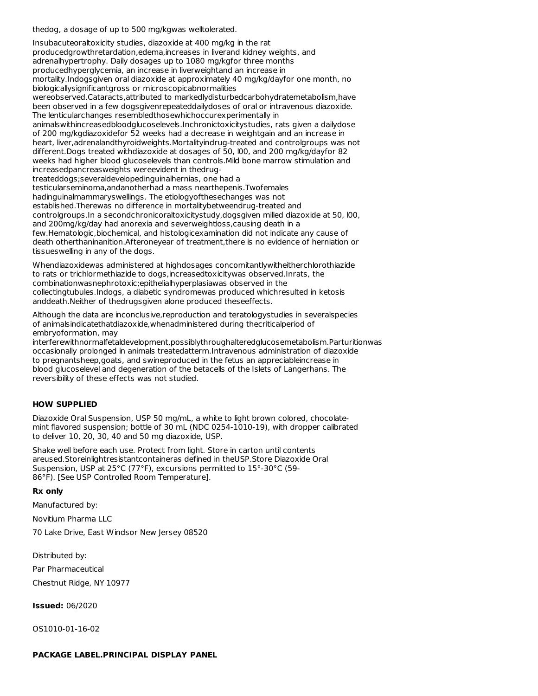thedog, a dosage of up to 500 mg/kgwas welltolerated.

Insubacuteoraltoxicity studies, diazoxide at 400 mg/kg in the rat producedgrowthretardation,edema,increases in liverand kidney weights, and adrenalhypertrophy. Daily dosages up to 1080 mg/kgfor three months producedhyperglycemia, an increase in liverweightand an increase in mortality.Indogsgiven oral diazoxide at approximately 40 mg/kg/dayfor one month, no biologicallysignificantgross or microscopicabnormalities wereobserved.Cataracts,attributed to markedlydisturbedcarbohydratemetabolism,have been observed in a few dogsgivenrepeateddailydoses of oral or intravenous diazoxide. The lenticularchanges resembledthosewhichoccurexperimentally in animalswithincreasedbloodglucoselevels.Inchronictoxicitystudies, rats given a dailydose of 200 mg/kgdiazoxidefor 52 weeks had a decrease in weightgain and an increase in heart, liver,adrenalandthyroidweights.Mortalityindrug-treated and controlgroups was not different.Dogs treated withdiazoxide at dosages of 50, l00, and 200 mg/kg/dayfor 82 weeks had higher blood glucoselevels than controls.Mild bone marrow stimulation and increasedpancreasweights wereevident in thedrugtreateddogs;severaldevelopedinguinalhernias, one had a testicularseminoma,andanotherhad a mass nearthepenis.Twofemales hadinguinalmammaryswellings. The etiologyofthesechanges was not established.Therewas no difference in mortalitybetweendrug-treated and controlgroups.In a secondchronicoraltoxicitystudy,dogsgiven milled diazoxide at 50, l00, and 200mg/kg/day had anorexia and severweightloss,causing death in a few.Hematologic,biochemical, and histologicexamination did not indicate any cause of death otherthaninanition.Afteroneyear of treatment,there is no evidence of herniation or tissueswelling in any of the dogs.

Whendiazoxidewas administered at highdosages concomitantlywitheitherchlorothiazide to rats or trichlormethiazide to dogs,increasedtoxicitywas observed.Inrats, the combinationwasnephrotoxic;epithelialhyperplasiawas observed in the collectingtubules.Indogs, a diabetic syndromewas produced whichresulted in ketosis anddeath.Neither of thedrugsgiven alone produced theseeffects.

Although the data are inconclusive,reproduction and teratologystudies in severalspecies of animalsindicatethatdiazoxide,whenadministered during thecriticalperiod of embryoformation, may

interferewithnormalfetaldevelopment,possiblythroughalteredglucosemetabolism.Parturitionwas occasionally prolonged in animals treatedatterm.Intravenous administration of diazoxide to pregnantsheep,goats, and swineproduced in the fetus an appreciableincrease in blood glucoselevel and degeneration of the betacells of the Islets of Langerhans. The reversibility of these effects was not studied.

## **HOW SUPPLIED**

Diazoxide Oral Suspension, USP 50 mg/mL, a white to light brown colored, chocolate mint flavored suspension; bottle of 30 mL (NDC 0254-1010-19), with dropper calibrated to deliver 10, 20, 30, 40 and 50 mg diazoxide, USP.

Shake well before each use. Protect from light. Store in carton until contents areused.Storeinlightresistantcontaineras defined in theUSP.Store Diazoxide Oral Suspension, USP at 25°C (77°F), excursions permitted to 15°-30°C (59- 86°F). [See USP Controlled Room Temperature].

#### **Rx only**

Manufactured by:

Novitium Pharma LI C

70 Lake Drive, East Windsor New Jersey 08520

Distributed by:

Par Pharmaceutical

Chestnut Ridge, NY 10977

**Issued:** 06/2020

OS1010-01-16-02

#### **PACKAGE LABEL.PRINCIPAL DISPLAY PANEL**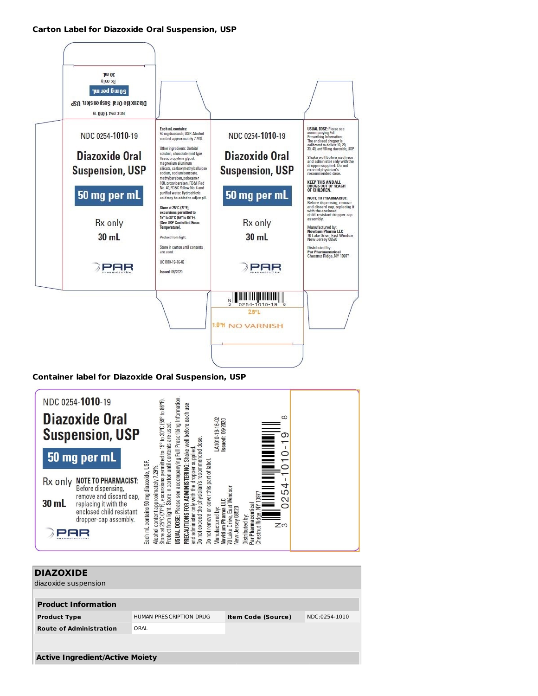### **Carton Label for Diazoxide Oral Suspension, USP**



## **Container label for Diazoxide Oral Suspension, USP**



| HUMAN PRESCRIPTION DRUG<br><b>Item Code (Source)</b> | NDC:0254-1010                          |  |  |  |  |  |
|------------------------------------------------------|----------------------------------------|--|--|--|--|--|
|                                                      |                                        |  |  |  |  |  |
|                                                      |                                        |  |  |  |  |  |
|                                                      |                                        |  |  |  |  |  |
|                                                      |                                        |  |  |  |  |  |
|                                                      | <b>Active Ingredient/Active Moiety</b> |  |  |  |  |  |